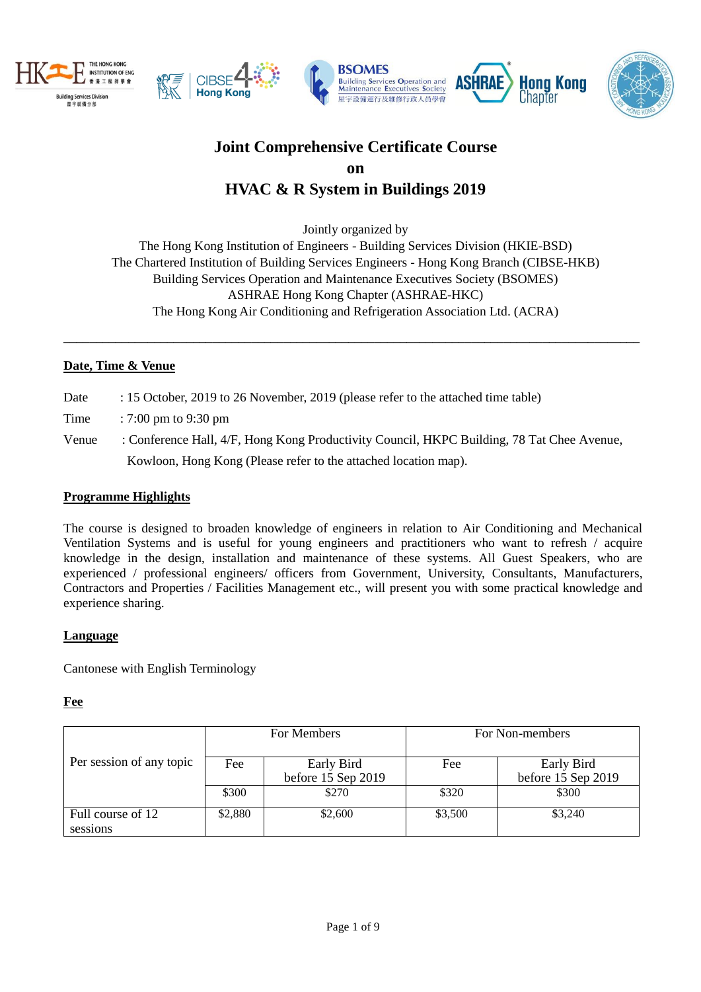







# **Joint Comprehensive Certificate Course on HVAC & R System in Buildings 2019**

Jointly organized by

The Hong Kong Institution of Engineers - Building Services Division (HKIE-BSD) The Chartered Institution of Building Services Engineers - Hong Kong Branch (CIBSE-HKB) Building Services Operation and Maintenance Executives Society (BSOMES) ASHRAE Hong Kong Chapter (ASHRAE-HKC) The Hong Kong Air Conditioning and Refrigeration Association Ltd. (ACRA)

**\_\_\_\_\_\_\_\_\_\_\_\_\_\_\_\_\_\_\_\_\_\_\_\_\_\_\_\_\_\_\_\_\_\_\_\_\_\_\_\_\_\_\_\_\_\_\_\_\_\_\_\_\_\_\_\_\_\_\_\_\_\_\_\_\_\_\_\_\_\_\_\_\_\_\_\_\_\_\_\_\_\_\_\_\_\_\_\_\_**

#### **Date, Time & Venue**

- Date : 15 October, 2019 to 26 November, 2019 (please refer to the attached time table)
- Time : 7:00 pm to 9:30 pm
- Venue : Conference Hall, 4/F, Hong Kong Productivity Council, HKPC Building, 78 Tat Chee Avenue, Kowloon, Hong Kong (Please refer to the attached location map).

#### **Programme Highlights**

The course is designed to broaden knowledge of engineers in relation to Air Conditioning and Mechanical Ventilation Systems and is useful for young engineers and practitioners who want to refresh / acquire knowledge in the design, installation and maintenance of these systems. All Guest Speakers, who are experienced / professional engineers/ officers from Government, University, Consultants, Manufacturers, Contractors and Properties / Facilities Management etc., will present you with some practical knowledge and experience sharing.

#### **Language**

Cantonese with English Terminology

#### **Fee**

|                               |         | For Members                      | For Non-members |                                  |  |
|-------------------------------|---------|----------------------------------|-----------------|----------------------------------|--|
| Per session of any topic      | Fee     | Early Bird<br>before 15 Sep 2019 | Fee             | Early Bird<br>before 15 Sep 2019 |  |
|                               | \$300   | \$270                            | \$320           | \$300                            |  |
| Full course of 12<br>sessions | \$2,880 | \$2,600                          | \$3,500         | \$3,240                          |  |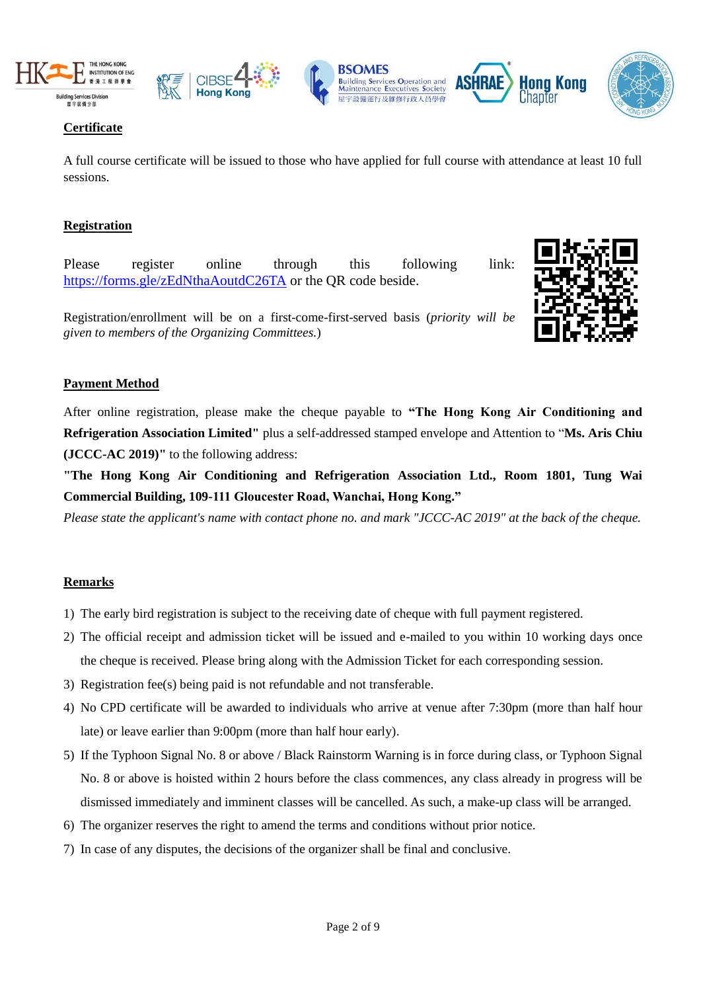









## **Certificate**

A full course certificate will be issued to those who have applied for full course with attendance at least 10 full sessions.

### **Registration**

Please register online through this following link: <https://forms.gle/zEdNthaAoutdC26TA> or the QR code beside.

Registration/enrollment will be on a first-come-first-served basis (*priority will be given to members of the Organizing Committees.*)



Hona Kona

Chanter

#### **Payment Method**

After online registration, please make the cheque payable to **"The Hong Kong Air Conditioning and Refrigeration Association Limited"** plus a self-addressed stamped envelope and Attention to "**Ms. Aris Chiu (JCCC-AC 2019)"** to the following address:

**"The Hong Kong Air Conditioning and Refrigeration Association Ltd., Room 1801, Tung Wai Commercial Building, 109-111 Gloucester Road, Wanchai, Hong Kong."** 

*Please state the applicant's name with contact phone no. and mark "JCCC-AC 2019" at the back of the cheque.*

#### **Remarks**

- 1) The early bird registration is subject to the receiving date of cheque with full payment registered.
- 2) The official receipt and admission ticket will be issued and e-mailed to you within 10 working days once the cheque is received. Please bring along with the Admission Ticket for each corresponding session.
- 3) Registration fee(s) being paid is not refundable and not transferable.
- 4) No CPD certificate will be awarded to individuals who arrive at venue after 7:30pm (more than half hour late) or leave earlier than 9:00pm (more than half hour early).
- 5) If the Typhoon Signal No. 8 or above / Black Rainstorm Warning is in force during class, or Typhoon Signal No. 8 or above is hoisted within 2 hours before the class commences, any class already in progress will be dismissed immediately and imminent classes will be cancelled. As such, a make-up class will be arranged.
- 6) The organizer reserves the right to amend the terms and conditions without prior notice.
- 7) In case of any disputes, the decisions of the organizer shall be final and conclusive.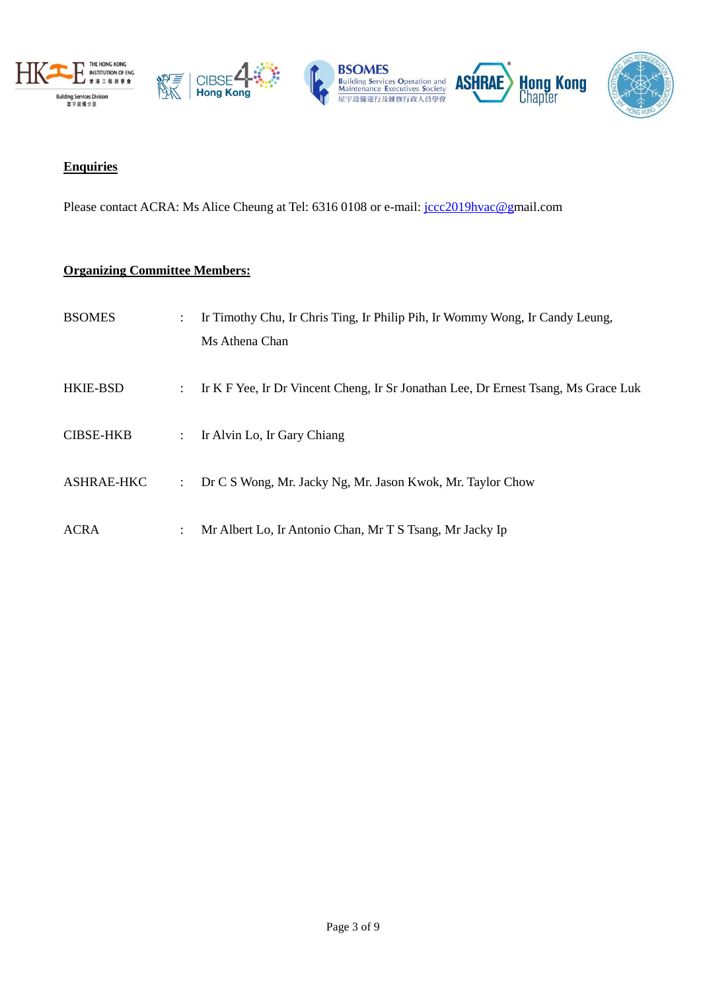







#### **Enquiries**

Please contact ACRA: Ms Alice Cheung at Tel: 6316 0108 or e-mail: [jccc2019hvac@gm](mailto:info@acra.org.hk)ail.com

#### **Organizing Committee Members:**

| <b>BSOMES</b>     | $\ddot{\phantom{0}}$        | Ir Timothy Chu, Ir Chris Ting, Ir Philip Pih, Ir Wommy Wong, Ir Candy Leung,<br>Ms Athena Chan |
|-------------------|-----------------------------|------------------------------------------------------------------------------------------------|
| <b>HKIE-BSD</b>   | $\mathbb{Z}^{\mathbb{Z}}$   | Ir K F Yee, Ir Dr Vincent Cheng, Ir Sr Jonathan Lee, Dr Ernest Tsang, Ms Grace Luk             |
| <b>CIBSE-HKB</b>  | $\mathcal{I}^{\mathcal{I}}$ | Ir Alvin Lo, Ir Gary Chiang                                                                    |
| <b>ASHRAE-HKC</b> | $\ddot{\phantom{a}}$        | Dr C S Wong, Mr. Jacky Ng, Mr. Jason Kwok, Mr. Taylor Chow                                     |
| <b>ACRA</b>       | ÷                           | Mr Albert Lo, Ir Antonio Chan, Mr T S Tsang, Mr Jacky Ip                                       |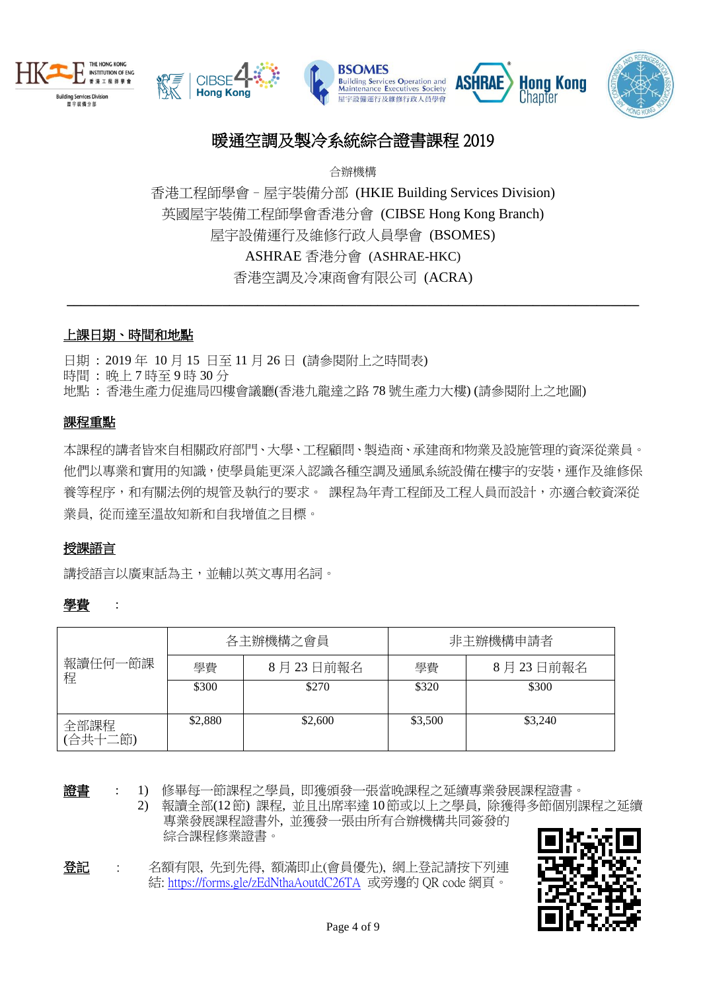







# 暖通空調及製冷系統綜合證書課程 2019

合辦機構

香港工程師學會–屋[宇裝備分部](http://bs.hkie.org.hk/) (HKIE Building Services Division) 英國屋宇裝備工程師學會香港分會 (CIBSE Hong Kong Branch) 屋宇設備運行及維修行政人員學會 (BSOMES) ASHRAE 香港分會 (ASHRAE-HKC) 香港空調及冷凍商會有限公司 (ACRA)

**\_\_\_\_\_\_\_\_\_\_\_\_\_\_\_\_\_\_\_\_\_\_\_\_\_\_\_\_\_\_\_\_\_\_\_\_\_\_\_\_\_\_\_\_\_\_\_\_\_\_\_\_\_\_\_\_\_\_\_\_\_\_\_\_\_\_\_\_\_\_\_\_\_\_\_\_\_\_\_\_\_**

### 上課日期、時間和地點

日期 : 2019 年 10 月 15 日至 11 月 26 日 (請參閱附上之時間表)

時間 : 晚上 7 時至 9 時 30 分

地點 : 香港生產力促進局四樓會議廳(香港九龍達之路 78 號生產力大樓) (請參閱附上之地圖)

#### 課程重點

本課程的講者皆來自相關政府部門、大學、工程顧問、製造商、承建商和物業及設施管理的資深從業員。 他們以專業和實用的知識,使學員能更深入認識各種空調及通風系統設備在樓宇的安裝,運作及維修保 養等程序,和有關法例的規管及執行的要求。 課程為年青工程師及工程人員而設計,亦適合較資深從 業員, 從而達至溫故知新和自我增值之目標。

#### 授課語言

講授語言以廣東話為主,並輔以英文專用名詞。

#### 學費 :

|                 |         | 各主辦機構之會員 | 非主辦機構申請者 |          |  |
|-----------------|---------|----------|----------|----------|--|
| 報讀任何一節課<br>程    | 學費      | 8月23日前報名 | 學費       | 8月23日前報名 |  |
|                 | \$300   | \$270    | \$320    | \$300    |  |
| 全部課程<br>(合共十二節) | \$2,880 | \$2,600  | \$3,500  | \$3,240  |  |

證書 : 1) 修畢每一節課程之學員, 即獲頒發一張當晚課程之延續專業發展課程證書。

2) 報讀全部(12節) 課程, 並且出席率達10節或以上之學員, 除獲得多節個別課程之延續 專業發展課程證書外, 並獲發一張由所有合辦機構共同簽發的 綜合課程修業證書。

登記 : 名額有限, 先到先得, 額滿即止(會員優先), 網上登記請按下列連 結:<https://forms.gle/zEdNthaAoutdC26TA> 或旁邊的 QR code 網頁。

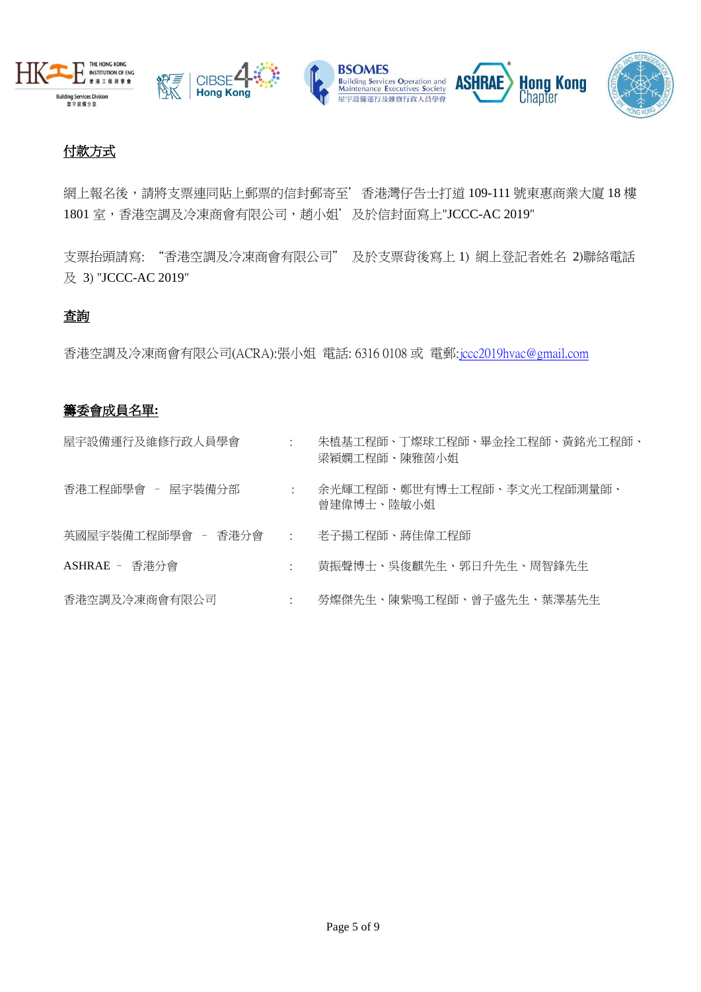



# 付款方式

網上報名後,請將支票連同貼上郵票的信封郵寄至'香港灣仔告士打道 109-111 號東惠商業大廈 18 樓 1801 室,香港空調及冷凍商會有限公司, 趙小姐'及於信封面寫上"JCCC-AC 2019"

支票抬頭請寫: "香港空調及冷凍商會有限公司" 及於支票背後寫上 1) 網上登記者姓名 2)聯絡電話 及 3) "JCCC-AC 2019"

#### 查詢

香港空調及冷凍商會有限公司(ACRA):張小姐 電話: 6316 0108 或 電郵[:jccc2019hvac@gmail.com](mailto:jccc2019hvac@gmail.com)

## 籌委會成員名單**:**

| 屋宇設備運行及維修行政人員學會                        | $\sim$ $\sim$ $\sim$ | 朱植基工程師、丁燦球工程師、畢金拴工程師、黃銘光工程師、<br>梁穎嫻工程師、陳雅茵小姐 |
|----------------------------------------|----------------------|----------------------------------------------|
| 香港工程師學會 - 屋宇裝備分部                       | $\sim 100$           | 余光輝工程師、鄭世有博士工程師、李文光工程師測量師、<br>曾建偉博士、陸敏小姐     |
| 英國屋宇裝備工程師學會 - 香港分會   :   老子揚工程師、蔣佳偉工程師 |                      |                                              |
| ASHRAE - 香港分會                          | $\ddot{\phantom{a}}$ | 黄振聲博士、吳俊麒先生、郭日升先生、周智鋒先生                      |
| 香港空調及冷凍商會有限公司                          | $\ddot{\phantom{1}}$ | 勞燦傑先生、陳紫鳴工程師、曾子盛先生、葉澤基先生                     |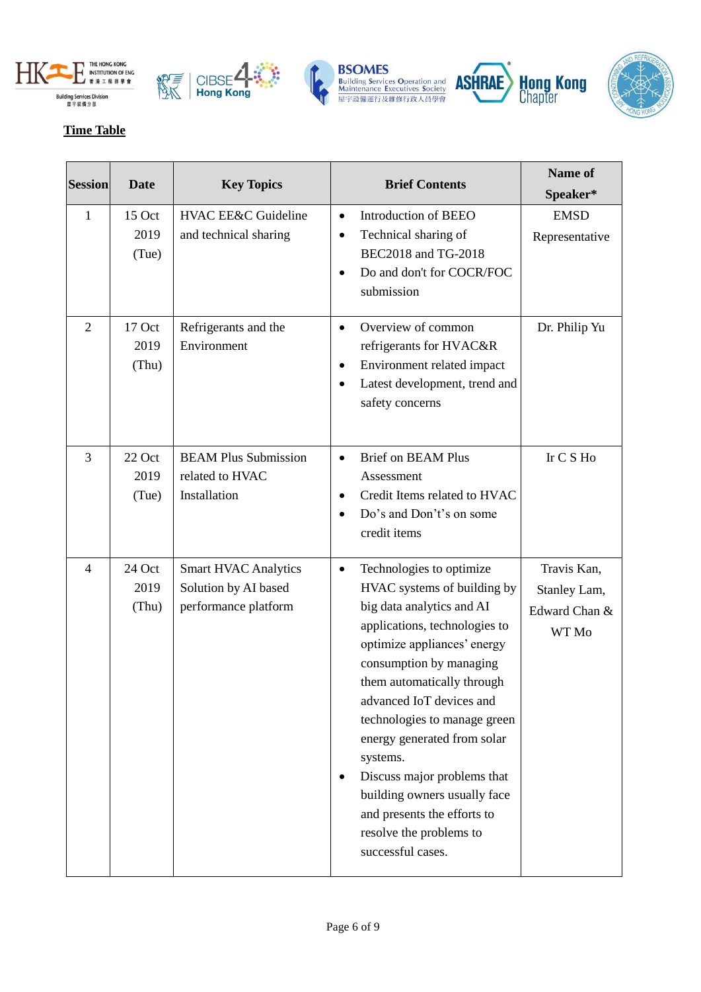









## **Time Table**

| <b>Session</b> | <b>Date</b>             | <b>Key Topics</b>                                                           | <b>Brief Contents</b>                                                                                                                                                                                                                                                                                                                                                                                                                                                           | Name of<br>Speaker*                                   |
|----------------|-------------------------|-----------------------------------------------------------------------------|---------------------------------------------------------------------------------------------------------------------------------------------------------------------------------------------------------------------------------------------------------------------------------------------------------------------------------------------------------------------------------------------------------------------------------------------------------------------------------|-------------------------------------------------------|
| $\mathbf{1}$   | 15 Oct<br>2019<br>(Tue) | <b>HVAC EE&amp;C Guideline</b><br>and technical sharing                     | Introduction of BEEO<br>$\bullet$<br>Technical sharing of<br>$\bullet$<br>BEC2018 and TG-2018<br>Do and don't for COCR/FOC<br>submission                                                                                                                                                                                                                                                                                                                                        | <b>EMSD</b><br>Representative                         |
| $\overline{2}$ | 17 Oct<br>2019<br>(Thu) | Refrigerants and the<br>Environment                                         | Overview of common<br>$\bullet$<br>refrigerants for HVAC&R<br>Environment related impact<br>$\bullet$<br>Latest development, trend and<br>safety concerns                                                                                                                                                                                                                                                                                                                       | Dr. Philip Yu                                         |
| 3              | 22 Oct<br>2019<br>(Tue) | <b>BEAM Plus Submission</b><br>related to HVAC<br>Installation              | <b>Brief on BEAM Plus</b><br>$\bullet$<br>Assessment<br>Credit Items related to HVAC<br>٠<br>Do's and Don't's on some<br>$\bullet$<br>credit items                                                                                                                                                                                                                                                                                                                              | Ir C S Ho                                             |
| $\overline{4}$ | 24 Oct<br>2019<br>(Thu) | <b>Smart HVAC Analytics</b><br>Solution by AI based<br>performance platform | Technologies to optimize<br>$\bullet$<br>HVAC systems of building by<br>big data analytics and AI<br>applications, technologies to<br>optimize appliances' energy<br>consumption by managing<br>them automatically through<br>advanced IoT devices and<br>technologies to manage green<br>energy generated from solar<br>systems.<br>Discuss major problems that<br>building owners usually face<br>and presents the efforts to<br>resolve the problems to<br>successful cases. | Travis Kan,<br>Stanley Lam,<br>Edward Chan &<br>WT Mo |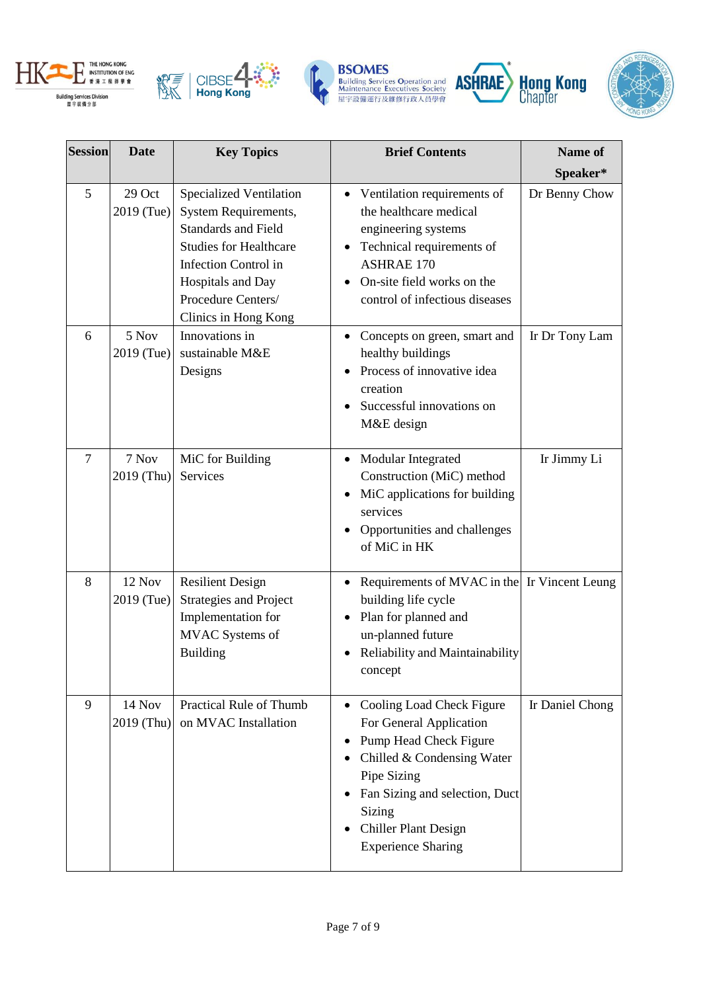









| <b>Session</b> | <b>Date</b>          | <b>Key Topics</b>                                                                                                                                                                                                       | <b>Brief Contents</b>                                                                                                                                                                                                                            |                 |
|----------------|----------------------|-------------------------------------------------------------------------------------------------------------------------------------------------------------------------------------------------------------------------|--------------------------------------------------------------------------------------------------------------------------------------------------------------------------------------------------------------------------------------------------|-----------------|
|                |                      |                                                                                                                                                                                                                         |                                                                                                                                                                                                                                                  | Speaker*        |
| 5              | 29 Oct<br>2019 (Tue) | Specialized Ventilation<br><b>System Requirements,</b><br><b>Standards and Field</b><br><b>Studies for Healthcare</b><br><b>Infection Control in</b><br>Hospitals and Day<br>Procedure Centers/<br>Clinics in Hong Kong | Ventilation requirements of<br>the healthcare medical<br>engineering systems<br>Technical requirements of<br><b>ASHRAE 170</b><br>On-site field works on the<br>control of infectious diseases                                                   | Dr Benny Chow   |
| 6              | 5 Nov<br>2019 (Tue)  | Innovations in<br>sustainable M&E<br>Designs                                                                                                                                                                            | Concepts on green, smart and<br>healthy buildings<br>Process of innovative idea<br>creation<br>Successful innovations on<br>M&E design                                                                                                           | Ir Dr Tony Lam  |
| $\overline{7}$ | 7 Nov<br>2019 (Thu)  | MiC for Building<br>Services                                                                                                                                                                                            | Modular Integrated<br>Construction (MiC) method<br>MiC applications for building<br>services<br>Opportunities and challenges<br>of MiC in HK                                                                                                     | Ir Jimmy Li     |
| 8              | 12 Nov<br>2019 (Tue) | <b>Resilient Design</b><br><b>Strategies and Project</b><br>Implementation for<br><b>MVAC</b> Systems of<br><b>Building</b>                                                                                             | Requirements of MVAC in the Ir Vincent Leung<br>building life cycle<br>Plan for planned and<br>un-planned future<br>Reliability and Maintainability<br>concept                                                                                   |                 |
| 9              | 14 Nov<br>2019 (Thu) | <b>Practical Rule of Thumb</b><br>on MVAC Installation                                                                                                                                                                  | Cooling Load Check Figure<br>$\bullet$<br>For General Application<br>Pump Head Check Figure<br>Chilled & Condensing Water<br>Pipe Sizing<br>Fan Sizing and selection, Duct<br>Sizing<br><b>Chiller Plant Design</b><br><b>Experience Sharing</b> | Ir Daniel Chong |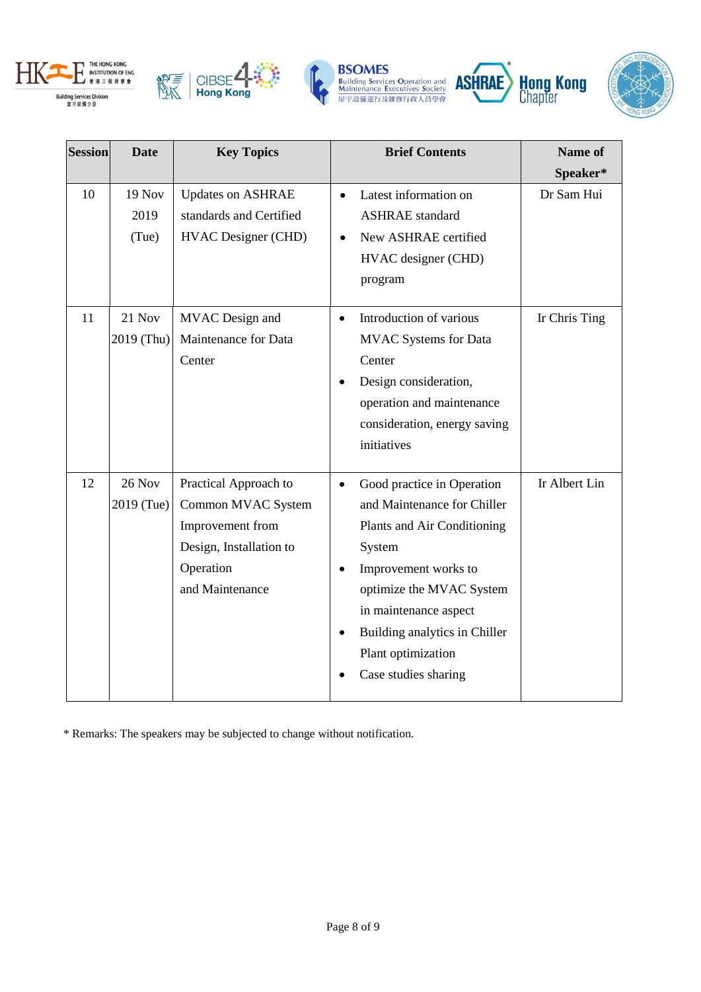









| <b>Session</b> | <b>Date</b>                    | <b>Key Topics</b>                                                                                                          | <b>Brief Contents</b>                                                                                                                                                                                                                                                       | Name of       |
|----------------|--------------------------------|----------------------------------------------------------------------------------------------------------------------------|-----------------------------------------------------------------------------------------------------------------------------------------------------------------------------------------------------------------------------------------------------------------------------|---------------|
|                |                                |                                                                                                                            |                                                                                                                                                                                                                                                                             | Speaker*      |
| 10             | <b>19 Nov</b><br>2019<br>(Tue) | <b>Updates on ASHRAE</b><br>standards and Certified<br><b>HVAC Designer (CHD)</b>                                          | Latest information on<br>$\bullet$<br><b>ASHRAE</b> standard<br>New ASHRAE certified<br>$\bullet$<br>HVAC designer (CHD)<br>program                                                                                                                                         | Dr Sam Hui    |
| 11             | 21 Nov<br>2019 (Thu)           | MVAC Design and<br>Maintenance for Data<br>Center                                                                          | Introduction of various<br>$\bullet$<br><b>MVAC</b> Systems for Data<br>Center<br>Design consideration,<br>operation and maintenance<br>consideration, energy saving<br>initiatives                                                                                         | Ir Chris Ting |
| 12             | 26 Nov<br>2019 (Tue)           | Practical Approach to<br>Common MVAC System<br>Improvement from<br>Design, Installation to<br>Operation<br>and Maintenance | Good practice in Operation<br>$\bullet$<br>and Maintenance for Chiller<br>Plants and Air Conditioning<br>System<br>Improvement works to<br>optimize the MVAC System<br>in maintenance aspect<br>Building analytics in Chiller<br>Plant optimization<br>Case studies sharing | Ir Albert Lin |

\* Remarks: The speakers may be subjected to change without notification.